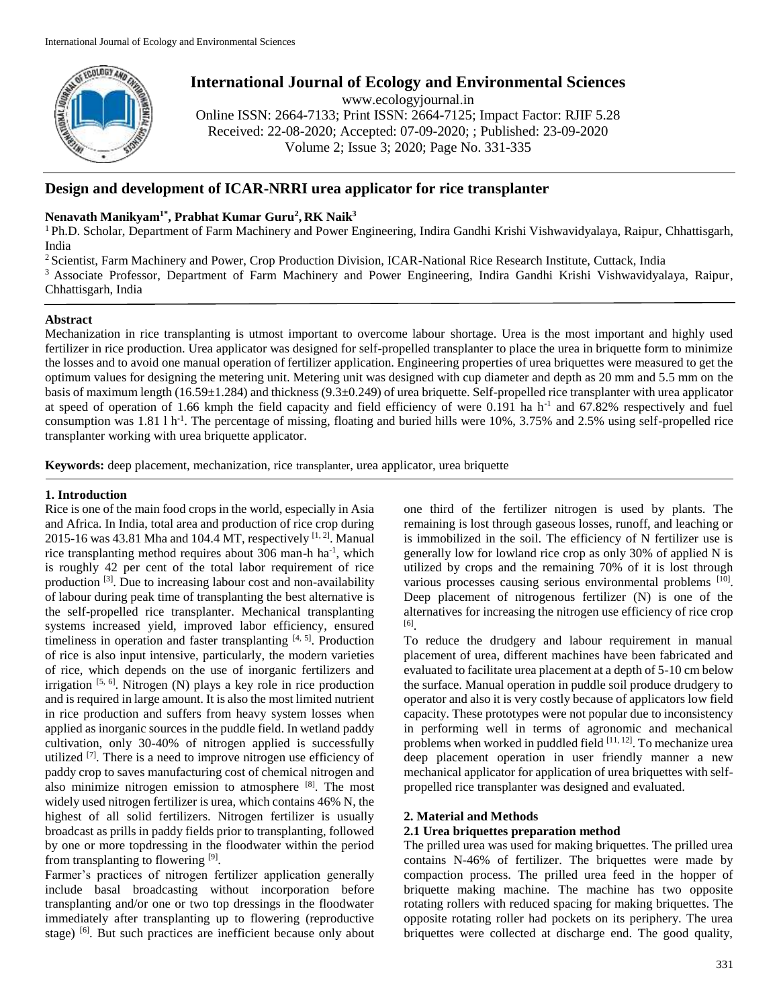

# **International Journal of Ecology and Environmental Sciences**

www.ecologyjournal.in

Online ISSN: 2664-7133; Print ISSN: 2664-7125; Impact Factor: RJIF 5.28 Received: 22-08-2020; Accepted: 07-09-2020; ; Published: 23-09-2020 Volume 2; Issue 3; 2020; Page No. 331-335

# **Design and development of ICAR-NRRI urea applicator for rice transplanter**

# **Nenavath Manikyam1\*, Prabhat Kumar Guru<sup>2</sup> , RK Naik<sup>3</sup>**

<sup>1</sup> Ph.D. Scholar, Department of Farm Machinery and Power Engineering, Indira Gandhi Krishi Vishwavidyalaya, Raipur, Chhattisgarh, India

<sup>2</sup> Scientist, Farm Machinery and Power, Crop Production Division, ICAR-National Rice Research Institute, Cuttack, India

<sup>3</sup> Associate Professor, Department of Farm Machinery and Power Engineering, Indira Gandhi Krishi Vishwavidyalaya, Raipur, Chhattisgarh, India

# **Abstract**

Mechanization in rice transplanting is utmost important to overcome labour shortage. Urea is the most important and highly used fertilizer in rice production. Urea applicator was designed for self-propelled transplanter to place the urea in briquette form to minimize the losses and to avoid one manual operation of fertilizer application. Engineering properties of urea briquettes were measured to get the optimum values for designing the metering unit. Metering unit was designed with cup diameter and depth as 20 mm and 5.5 mm on the basis of maximum length (16.59±1.284) and thickness (9.3±0.249) of urea briquette. Self-propelled rice transplanter with urea applicator at speed of operation of 1.66 kmph the field capacity and field efficiency of were 0.191 ha  $h^{-1}$  and 67.82% respectively and fuel consumption was  $1.81 \text{ l h}^{-1}$ . The percentage of missing, floating and buried hills were  $10\%$ ,  $3.75\%$  and  $2.5\%$  using self-propelled rice transplanter working with urea briquette applicator.

**Keywords:** deep placement, mechanization, rice transplanter, urea applicator, urea briquette

# **1. Introduction**

Rice is one of the main food crops in the world, especially in Asia and Africa. In India, total area and production of rice crop during 2015-16 was 43.81 Mha and 104.4 MT, respectively  $[1, 2]$ . Manual rice transplanting method requires about 306 man-h ha<sup>-1</sup>, which is roughly 42 per cent of the total labor requirement of rice production<sup>[3]</sup>. Due to increasing labour cost and non-availability of labour during peak time of transplanting the best alternative is the self-propelled rice transplanter. Mechanical transplanting systems increased yield, improved labor efficiency, ensured timeliness in operation and faster transplanting [4, 5]. Production of rice is also input intensive, particularly, the modern varieties of rice, which depends on the use of inorganic fertilizers and irrigation  $[5, 6]$ . Nitrogen (N) plays a key role in rice production and is required in large amount. It is also the most limited nutrient in rice production and suffers from heavy system losses when applied as inorganic sources in the puddle field. In wetland paddy cultivation, only 30-40% of nitrogen applied is successfully utilized <sup>[7]</sup>. There is a need to improve nitrogen use efficiency of paddy crop to saves manufacturing cost of chemical nitrogen and also minimize nitrogen emission to atmosphere [8]. The most widely used nitrogen fertilizer is urea, which contains 46% N, the highest of all solid fertilizers. Nitrogen fertilizer is usually broadcast as prills in paddy fields prior to transplanting, followed by one or more topdressing in the floodwater within the period from transplanting to flowering [9].

Farmer's practices of nitrogen fertilizer application generally include basal broadcasting without incorporation before transplanting and/or one or two top dressings in the floodwater immediately after transplanting up to flowering (reproductive stage) <sup>[6]</sup>. But such practices are inefficient because only about

one third of the fertilizer nitrogen is used by plants. The remaining is lost through gaseous losses, runoff, and leaching or is immobilized in the soil. The efficiency of N fertilizer use is generally low for lowland rice crop as only 30% of applied N is utilized by crops and the remaining 70% of it is lost through various processes causing serious environmental problems [10]. Deep placement of nitrogenous fertilizer (N) is one of the alternatives for increasing the nitrogen use efficiency of rice crop [6] .

To reduce the drudgery and labour requirement in manual placement of urea, different machines have been fabricated and evaluated to facilitate urea placement at a depth of 5-10 cm below the surface. Manual operation in puddle soil produce drudgery to operator and also it is very costly because of applicators low field capacity. These prototypes were not popular due to inconsistency in performing well in terms of agronomic and mechanical problems when worked in puddled field  $[11, 12]$ . To mechanize urea deep placement operation in user friendly manner a new mechanical applicator for application of urea briquettes with selfpropelled rice transplanter was designed and evaluated.

# **2. Material and Methods**

# **2.1 Urea briquettes preparation method**

The prilled urea was used for making briquettes. The prilled urea contains N-46% of fertilizer. The briquettes were made by compaction process. The prilled urea feed in the hopper of briquette making machine. The machine has two opposite rotating rollers with reduced spacing for making briquettes. The opposite rotating roller had pockets on its periphery. The urea briquettes were collected at discharge end. The good quality,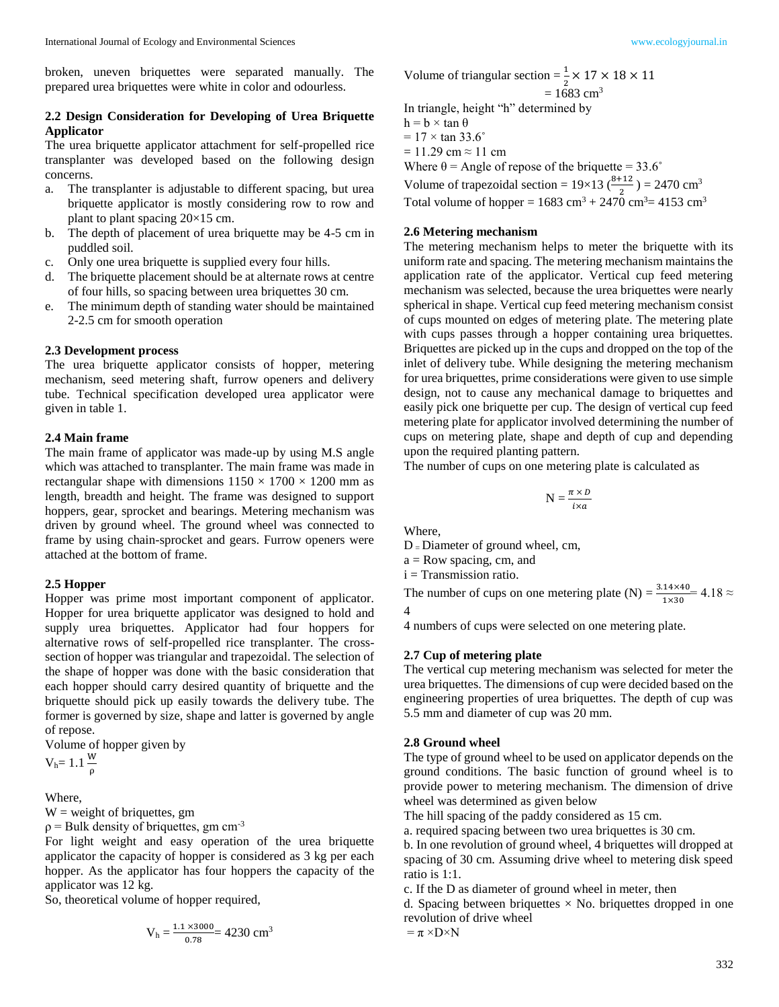broken, uneven briquettes were separated manually. The prepared urea briquettes were white in color and odourless.

# **2.2 Design Consideration for Developing of Urea Briquette Applicator**

The urea briquette applicator attachment for self-propelled rice transplanter was developed based on the following design concerns.

- a. The transplanter is adjustable to different spacing, but urea briquette applicator is mostly considering row to row and plant to plant spacing  $20\times15$  cm.
- b. The depth of placement of urea briquette may be 4-5 cm in puddled soil.
- c. Only one urea briquette is supplied every four hills.
- d. The briquette placement should be at alternate rows at centre of four hills, so spacing between urea briquettes 30 cm.
- e. The minimum depth of standing water should be maintained 2-2.5 cm for smooth operation

#### **2.3 Development process**

The urea briquette applicator consists of hopper, metering mechanism, seed metering shaft, furrow openers and delivery tube. Technical specification developed urea applicator were given in table 1.

#### **2.4 Main frame**

The main frame of applicator was made-up by using M.S angle which was attached to transplanter. The main frame was made in rectangular shape with dimensions  $1150 \times 1700 \times 1200$  mm as length, breadth and height. The frame was designed to support hoppers, gear, sprocket and bearings. Metering mechanism was driven by ground wheel. The ground wheel was connected to frame by using chain-sprocket and gears. Furrow openers were attached at the bottom of frame.

#### **2.5 Hopper**

Hopper was prime most important component of applicator. Hopper for urea briquette applicator was designed to hold and supply urea briquettes. Applicator had four hoppers for alternative rows of self-propelled rice transplanter. The crosssection of hopper was triangular and trapezoidal. The selection of the shape of hopper was done with the basic consideration that each hopper should carry desired quantity of briquette and the briquette should pick up easily towards the delivery tube. The former is governed by size, shape and latter is governed by angle of repose.

Volume of hopper given by

 $V<sub>h</sub>= 1.1 \frac{W}{\rho}$ 

Where,

 $W = weight of briquettes, gm$ 

 $p =$  Bulk density of briquettes, gm cm<sup>-3</sup>

For light weight and easy operation of the urea briquette applicator the capacity of hopper is considered as 3 kg per each hopper. As the applicator has four hoppers the capacity of the applicator was 12 kg.

So, theoretical volume of hopper required,

$$
V_h = \frac{1.1 \times 3000}{0.78} = 4230 \text{ cm}^3
$$

Volume of triangular section  $=\frac{1}{2} \times 17 \times 18 \times 11$  $= 1683$  cm<sup>3</sup>

In triangle, height "h" determined by  $h = b \times \tan \theta$ 

 $= 17 \times \tan 33.6^\circ$ 

 $= 11.29$  cm  $\approx 11$  cm

Where  $\theta$  = Angle of repose of the briquette = 33.6°

Volume of trapezoidal section =  $19\times13\left(\frac{8+12}{2}\right)$  = 2470 cm<sup>3</sup>

Total volume of hopper =  $1683 \text{ cm}^3 + 2470 \text{ cm}^3 = 4153 \text{ cm}^3$ 

# **2.6 Metering mechanism**

The metering mechanism helps to meter the briquette with its uniform rate and spacing. The metering mechanism maintains the application rate of the applicator. Vertical cup feed metering mechanism was selected, because the urea briquettes were nearly spherical in shape. Vertical cup feed metering mechanism consist of cups mounted on edges of metering plate. The metering plate with cups passes through a hopper containing urea briquettes. Briquettes are picked up in the cups and dropped on the top of the inlet of delivery tube. While designing the metering mechanism for urea briquettes, prime considerations were given to use simple design, not to cause any mechanical damage to briquettes and easily pick one briquette per cup. The design of vertical cup feed metering plate for applicator involved determining the number of cups on metering plate, shape and depth of cup and depending upon the required planting pattern.

The number of cups on one metering plate is calculated as

$$
N = \frac{\pi \times D}{i \times a}
$$

Where,

4

 $D =$ Diameter of ground wheel, cm,

 $a = Row spacing, cm, and$ 

i = Transmission ratio.

The number of cups on one metering plate (N) =  $\frac{3.14 \times 40}{1 \times 30}$  = 4.18  $\approx$ 

4 numbers of cups were selected on one metering plate.

# **2.7 Cup of metering plate**

The vertical cup metering mechanism was selected for meter the urea briquettes. The dimensions of cup were decided based on the engineering properties of urea briquettes. The depth of cup was 5.5 mm and diameter of cup was 20 mm.

#### **2.8 Ground wheel**

The type of ground wheel to be used on applicator depends on the ground conditions. The basic function of ground wheel is to provide power to metering mechanism. The dimension of drive wheel was determined as given below

The hill spacing of the paddy considered as 15 cm.

a. required spacing between two urea briquettes is 30 cm.

b. In one revolution of ground wheel, 4 briquettes will dropped at spacing of 30 cm. Assuming drive wheel to metering disk speed ratio is 1:1.

c. If the D as diameter of ground wheel in meter, then

d. Spacing between briquettes  $\times$  No. briquettes dropped in one revolution of drive wheel

$$
= \pi \times D \times N
$$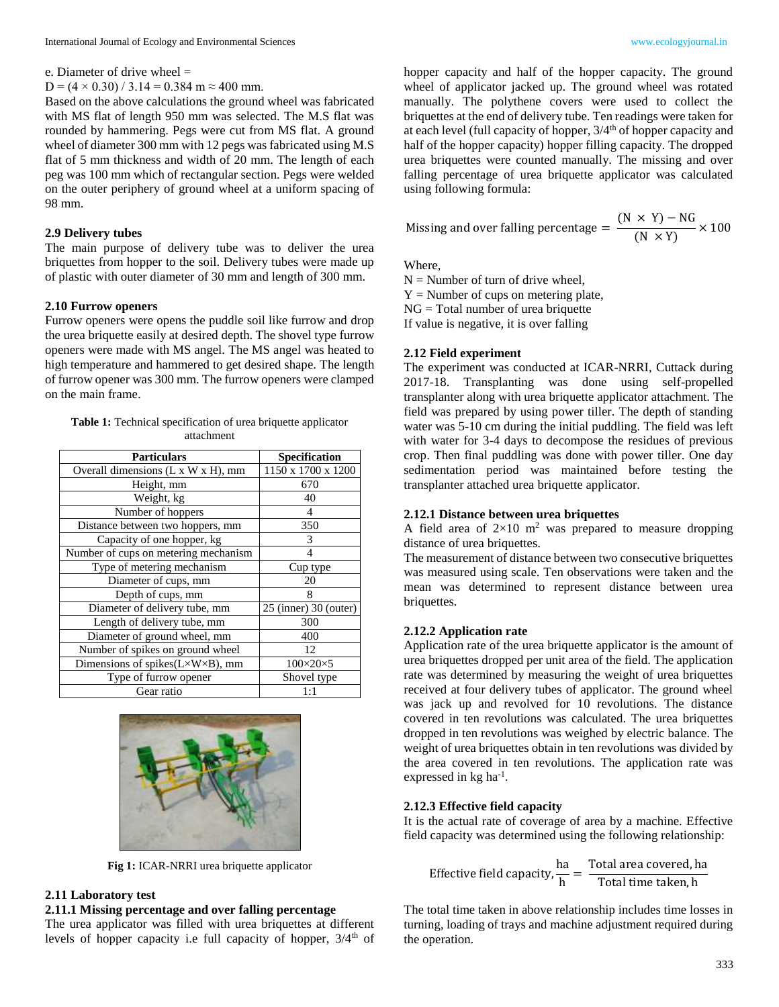e. Diameter of drive wheel =

 $D = (4 \times 0.30) / 3.14 = 0.384$  m  $\approx 400$  mm.

Based on the above calculations the ground wheel was fabricated with MS flat of length 950 mm was selected. The M.S flat was rounded by hammering. Pegs were cut from MS flat. A ground wheel of diameter 300 mm with 12 pegs was fabricated using M.S flat of 5 mm thickness and width of 20 mm. The length of each peg was 100 mm which of rectangular section. Pegs were welded on the outer periphery of ground wheel at a uniform spacing of 98 mm.

# **2.9 Delivery tubes**

The main purpose of delivery tube was to deliver the urea briquettes from hopper to the soil. Delivery tubes were made up of plastic with outer diameter of 30 mm and length of 300 mm.

# **2.10 Furrow openers**

Furrow openers were opens the puddle soil like furrow and drop the urea briquette easily at desired depth. The shovel type furrow openers were made with MS angel. The MS angel was heated to high temperature and hammered to get desired shape. The length of furrow opener was 300 mm. The furrow openers were clamped on the main frame.

**Table 1:** Technical specification of urea briquette applicator attachment

| <b>Particulars</b>                   | <b>Specification</b>    |
|--------------------------------------|-------------------------|
| Overall dimensions (L x W x H), mm   | 1150 x 1700 x 1200      |
| Height, mm                           | 670                     |
| Weight, kg                           | 40                      |
| Number of hoppers                    | 4                       |
| Distance between two hoppers, mm     | 350                     |
| Capacity of one hopper, kg           | 3                       |
| Number of cups on metering mechanism |                         |
| Type of metering mechanism           | Cup type                |
| Diameter of cups, mm                 | 20                      |
| Depth of cups, mm                    | 8                       |
| Diameter of delivery tube, mm        | $25$ (inner) 30 (outer) |
| Length of delivery tube, mm          | 300                     |
| Diameter of ground wheel, mm         | 400                     |
| Number of spikes on ground wheel     | 12                      |
| Dimensions of spikes(L×W×B), mm      | $100\times20\times5$    |
| Type of furrow opener                | Shovel type             |
| Gear ratio                           | 1:1                     |



**Fig 1:** ICAR-NRRI urea briquette applicator

# **2.11 Laboratory test**

### **2.11.1 Missing percentage and over falling percentage**

The urea applicator was filled with urea briquettes at different levels of hopper capacity i.e full capacity of hopper,  $3/4<sup>th</sup>$  of hopper capacity and half of the hopper capacity. The ground wheel of applicator jacked up. The ground wheel was rotated manually. The polythene covers were used to collect the briquettes at the end of delivery tube. Ten readings were taken for at each level (full capacity of hopper,  $3/4<sup>th</sup>$  of hopper capacity and half of the hopper capacity) hopper filling capacity. The dropped urea briquettes were counted manually. The missing and over falling percentage of urea briquette applicator was calculated using following formula:

Missing and over falling percentage = 
$$
\frac{(N \times Y) - NG}{(N \times Y)} \times 100
$$

Where,

 $N =$  Number of turn of drive wheel,  $Y =$  Number of cups on metering plate, NG = Total number of urea briquette

If value is negative, it is over falling

# **2.12 Field experiment**

The experiment was conducted at ICAR-NRRI, Cuttack during 2017-18. Transplanting was done using self-propelled transplanter along with urea briquette applicator attachment. The field was prepared by using power tiller. The depth of standing water was 5-10 cm during the initial puddling. The field was left with water for 3-4 days to decompose the residues of previous crop. Then final puddling was done with power tiller. One day sedimentation period was maintained before testing the transplanter attached urea briquette applicator.

### **2.12.1 Distance between urea briquettes**

A field area of  $2\times10$  m<sup>2</sup> was prepared to measure dropping distance of urea briquettes.

The measurement of distance between two consecutive briquettes was measured using scale. Ten observations were taken and the mean was determined to represent distance between urea briquettes.

# **2.12.2 Application rate**

Application rate of the urea briquette applicator is the amount of urea briquettes dropped per unit area of the field. The application rate was determined by measuring the weight of urea briquettes received at four delivery tubes of applicator. The ground wheel was jack up and revolved for 10 revolutions. The distance covered in ten revolutions was calculated. The urea briquettes dropped in ten revolutions was weighed by electric balance. The weight of urea briquettes obtain in ten revolutions was divided by the area covered in ten revolutions. The application rate was expressed in  $kg$  ha<sup>-1</sup>.

#### **2.12.3 Effective field capacity**

It is the actual rate of coverage of area by a machine. Effective field capacity was determined using the following relationship:

Effective field capacity, 
$$
\frac{ha}{h} = \frac{\text{Total area covered, ha}}{\text{Total time taken, h}}
$$

The total time taken in above relationship includes time losses in turning, loading of trays and machine adjustment required during the operation.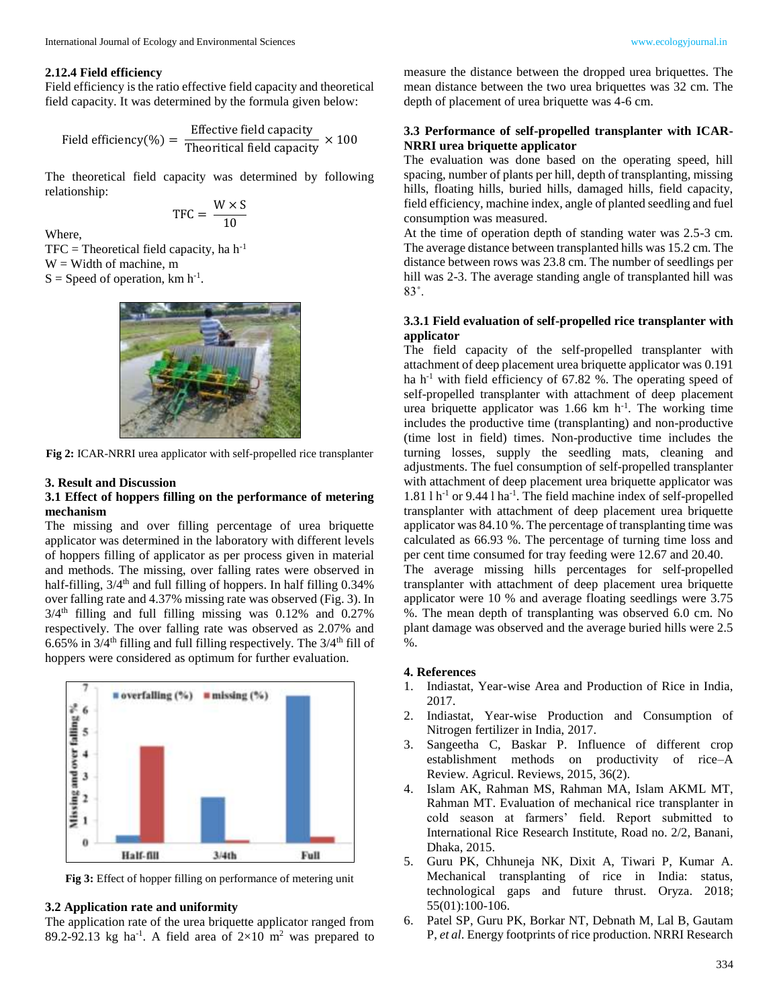# **2.12.4 Field efficiency**

Field efficiency is the ratio effective field capacity and theoretical field capacity. It was determined by the formula given below:

$$
Field efficiency (%) = \frac{Effective field capacity}{Theoretical field capacity} \times 100
$$

The theoretical field capacity was determined by following relationship:

$$
TFC = \frac{W \times S}{10}
$$

Where,

 $TFC = Theoretical field capacity, ha h<sup>-1</sup>$ 

 $W =$  Width of machine, m

 $S = Speed$  of operation, km h<sup>-1</sup>.



**Fig 2:** ICAR-NRRI urea applicator with self-propelled rice transplanter

### **3. Result and Discussion**

# **3.1 Effect of hoppers filling on the performance of metering mechanism**

The missing and over filling percentage of urea briquette applicator was determined in the laboratory with different levels of hoppers filling of applicator as per process given in material and methods. The missing, over falling rates were observed in half-filling,  $3/4<sup>th</sup>$  and full filling of hoppers. In half filling 0.34% over falling rate and 4.37% missing rate was observed (Fig. 3). In  $3/4$ <sup>th</sup> filling and full filling missing was 0.12% and 0.27% respectively. The over falling rate was observed as 2.07% and 6.65% in  $3/4$ <sup>th</sup> filling and full filling respectively. The  $3/4$ <sup>th</sup> fill of hoppers were considered as optimum for further evaluation.



**Fig 3:** Effect of hopper filling on performance of metering unit

### **3.2 Application rate and uniformity**

The application rate of the urea briquette applicator ranged from 89.2-92.13 kg ha<sup>-1</sup>. A field area of  $2\times10$  m<sup>2</sup> was prepared to measure the distance between the dropped urea briquettes. The mean distance between the two urea briquettes was 32 cm. The depth of placement of urea briquette was 4-6 cm.

# **3.3 Performance of self-propelled transplanter with ICAR-NRRI urea briquette applicator**

The evaluation was done based on the operating speed, hill spacing, number of plants per hill, depth of transplanting, missing hills, floating hills, buried hills, damaged hills, field capacity, field efficiency, machine index, angle of planted seedling and fuel consumption was measured.

At the time of operation depth of standing water was 2.5-3 cm. The average distance between transplanted hills was 15.2 cm. The distance between rows was 23.8 cm. The number of seedlings per hill was 2-3. The average standing angle of transplanted hill was 83˚.

# **3.3.1 Field evaluation of self-propelled rice transplanter with applicator**

The field capacity of the self-propelled transplanter with attachment of deep placement urea briquette applicator was 0.191 ha h<sup>-1</sup> with field efficiency of  $67.82$  %. The operating speed of self-propelled transplanter with attachment of deep placement urea briquette applicator was  $1.66$  km h<sup>-1</sup>. The working time includes the productive time (transplanting) and non-productive (time lost in field) times. Non-productive time includes the turning losses, supply the seedling mats, cleaning and adjustments. The fuel consumption of self-propelled transplanter with attachment of deep placement urea briquette applicator was  $1.81$  l h<sup>-1</sup> or 9.44 l ha<sup>-1</sup>. The field machine index of self-propelled transplanter with attachment of deep placement urea briquette applicator was 84.10 %. The percentage of transplanting time was calculated as 66.93 %. The percentage of turning time loss and per cent time consumed for tray feeding were 12.67 and 20.40. The average missing hills percentages for self-propelled transplanter with attachment of deep placement urea briquette applicator were 10 % and average floating seedlings were 3.75 %. The mean depth of transplanting was observed 6.0 cm. No plant damage was observed and the average buried hills were 2.5

#### **4. References**

%.

- 1. Indiastat, Year-wise Area and Production of Rice in India, 2017.
- 2. Indiastat, Year-wise Production and Consumption of Nitrogen fertilizer in India, 2017.
- 3. Sangeetha C, Baskar P. Influence of different crop establishment methods on productivity of rice–A Review. Agricul. Reviews, 2015, 36(2).
- 4. Islam AK, Rahman MS, Rahman MA, Islam AKML MT, Rahman MT. Evaluation of mechanical rice transplanter in cold season at farmers' field. Report submitted to International Rice Research Institute, Road no. 2/2, Banani, Dhaka, 2015.
- 5. Guru PK, Chhuneja NK, Dixit A, Tiwari P, Kumar A. Mechanical transplanting of rice in India: status, technological gaps and future thrust. Oryza. 2018; 55(01):100-106.
- 6. Patel SP, Guru PK, Borkar NT, Debnath M, Lal B, Gautam P, *et al*. Energy footprints of rice production. NRRI Research